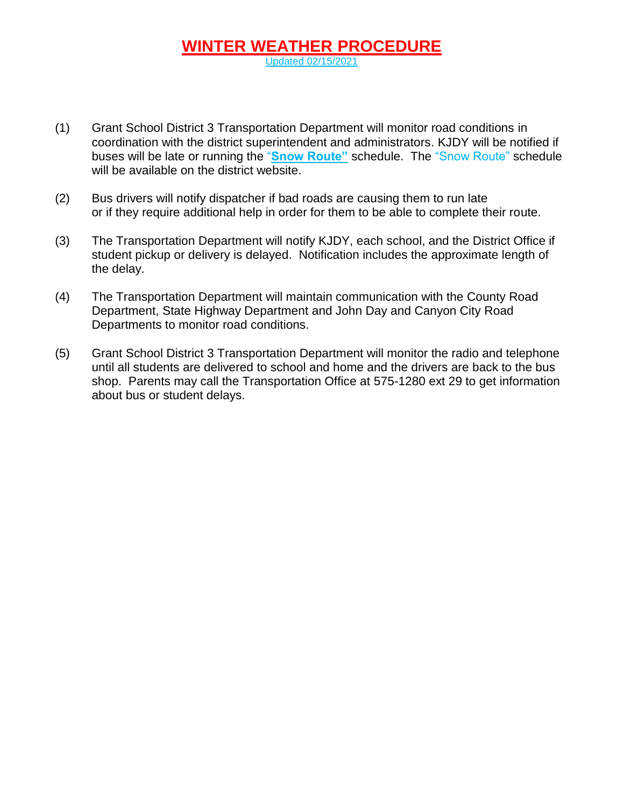## **WINTER WEATHER PROCEDURE** Updated 02/15/2021

- (1) Grant School District 3 Transportation Department will monitor road conditions in coordination with the district superintendent and administrators. KJDY will be notified if buses will be late or running the "**Snow Route"** schedule. The "Snow Route" schedule will be available on the district website.
- (2) Bus drivers will notify dispatcher if bad roads are causing them to run late or if they require additional help in order for them to be able to complete their route.
- (3) The Transportation Department will notify KJDY, each school, and the District Office if student pickup or delivery is delayed. Notification includes the approximate length of the delay.
- (4) The Transportation Department will maintain communication with the County Road Department, State Highway Department and John Day and Canyon City Road Departments to monitor road conditions.
- (5) Grant School District 3 Transportation Department will monitor the radio and telephone until all students are delivered to school and home and the drivers are back to the bus shop. Parents may call the Transportation Office at 575-1280 ext 29 to get information about bus or student delays.